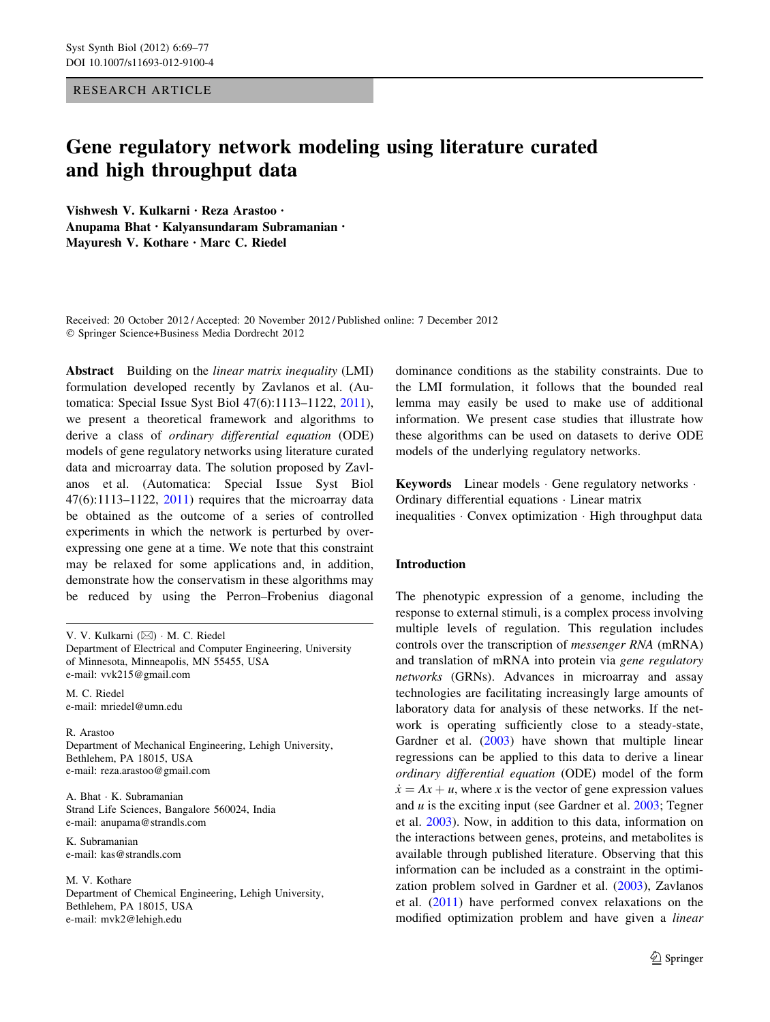RESEARCH ARTICLE

# Gene regulatory network modeling using literature curated and high throughput data

Vishwesh V. Kulkarni • Reza Arastoo • Anupama Bhat • Kalyansundaram Subramanian • Mayuresh V. Kothare • Marc C. Riedel

Received: 20 October 2012 / Accepted: 20 November 2012 / Published online: 7 December 2012 - Springer Science+Business Media Dordrecht 2012

Abstract Building on the *linear matrix inequality* (LMI) formulation developed recently by Zavlanos et al. (Automatica: Special Issue Syst Biol 47(6):1113–1122, [2011](#page-8-0)), we present a theoretical framework and algorithms to derive a class of ordinary differential equation (ODE) models of gene regulatory networks using literature curated data and microarray data. The solution proposed by Zavlanos et al. (Automatica: Special Issue Syst Biol  $47(6):1113-1122$ ,  $2011$ ) requires that the microarray data be obtained as the outcome of a series of controlled experiments in which the network is perturbed by overexpressing one gene at a time. We note that this constraint may be relaxed for some applications and, in addition, demonstrate how the conservatism in these algorithms may be reduced by using the Perron–Frobenius diagonal

V. V. Kulkarni (⊠) · M. C. Riedel Department of Electrical and Computer Engineering, University of Minnesota, Minneapolis, MN 55455, USA e-mail: vvk215@gmail.com

M. C. Riedel e-mail: mriedel@umn.edu

R. Arastoo Department of Mechanical Engineering, Lehigh University, Bethlehem, PA 18015, USA e-mail: reza.arastoo@gmail.com

A. Bhat - K. Subramanian Strand Life Sciences, Bangalore 560024, India e-mail: anupama@strandls.com

K. Subramanian e-mail: kas@strandls.com

M. V. Kothare Department of Chemical Engineering, Lehigh University, Bethlehem, PA 18015, USA e-mail: mvk2@lehigh.edu

dominance conditions as the stability constraints. Due to the LMI formulation, it follows that the bounded real lemma may easily be used to make use of additional information. We present case studies that illustrate how these algorithms can be used on datasets to derive ODE models of the underlying regulatory networks.

Keywords Linear models · Gene regulatory networks · Ordinary differential equations - Linear matrix inequalities - Convex optimization - High throughput data

# Introduction

The phenotypic expression of a genome, including the response to external stimuli, is a complex process involving multiple levels of regulation. This regulation includes controls over the transcription of messenger RNA (mRNA) and translation of mRNA into protein via gene regulatory networks (GRNs). Advances in microarray and assay technologies are facilitating increasingly large amounts of laboratory data for analysis of these networks. If the network is operating sufficiently close to a steady-state, Gardner et al. ([2003\)](#page-8-0) have shown that multiple linear regressions can be applied to this data to derive a linear ordinary differential equation (ODE) model of the form  $\dot{x} = Ax + u$ , where x is the vector of gene expression values and  $u$  is the exciting input (see Gardner et al. [2003](#page-8-0); Tegner et al. [2003\)](#page-8-0). Now, in addition to this data, information on the interactions between genes, proteins, and metabolites is available through published literature. Observing that this information can be included as a constraint in the optimization problem solved in Gardner et al. ([2003\)](#page-8-0), Zavlanos et al. ([2011\)](#page-8-0) have performed convex relaxations on the modified optimization problem and have given a linear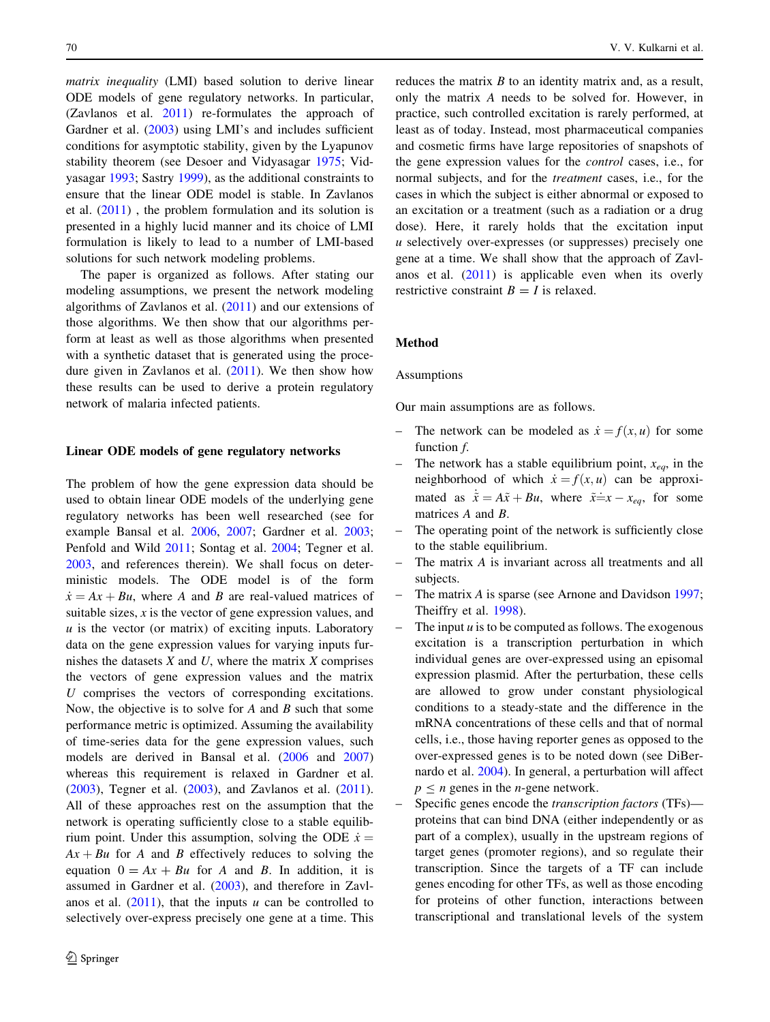matrix inequality (LMI) based solution to derive linear ODE models of gene regulatory networks. In particular, (Zavlanos et al. [2011\)](#page-8-0) re-formulates the approach of Gardner et al. ([2003\)](#page-8-0) using LMI's and includes sufficient conditions for asymptotic stability, given by the Lyapunov stability theorem (see Desoer and Vidyasagar [1975](#page-8-0); Vidyasagar [1993](#page-8-0); Sastry [1999\)](#page-8-0), as the additional constraints to ensure that the linear ODE model is stable. In Zavlanos et al. [\(2011](#page-8-0)) , the problem formulation and its solution is presented in a highly lucid manner and its choice of LMI formulation is likely to lead to a number of LMI-based solutions for such network modeling problems.

The paper is organized as follows. After stating our modeling assumptions, we present the network modeling algorithms of Zavlanos et al. [\(2011](#page-8-0)) and our extensions of those algorithms. We then show that our algorithms perform at least as well as those algorithms when presented with a synthetic dataset that is generated using the procedure given in Zavlanos et al. ([2011](#page-8-0)). We then show how these results can be used to derive a protein regulatory network of malaria infected patients.

## Linear ODE models of gene regulatory networks

The problem of how the gene expression data should be used to obtain linear ODE models of the underlying gene regulatory networks has been well researched (see for example Bansal et al. [2006,](#page-8-0) [2007](#page-8-0); Gardner et al. [2003](#page-8-0); Penfold and Wild [2011;](#page-8-0) Sontag et al. [2004](#page-8-0); Tegner et al. [2003,](#page-8-0) and references therein). We shall focus on deterministic models. The ODE model is of the form  $\dot{x} = Ax + Bu$ , where A and B are real-valued matrices of suitable sizes,  $x$  is the vector of gene expression values, and  $u$  is the vector (or matrix) of exciting inputs. Laboratory data on the gene expression values for varying inputs furnishes the datasets  $X$  and  $U$ , where the matrix  $X$  comprises the vectors of gene expression values and the matrix U comprises the vectors of corresponding excitations. Now, the objective is to solve for  $A$  and  $B$  such that some performance metric is optimized. Assuming the availability of time-series data for the gene expression values, such models are derived in Bansal et al. ([2006](#page-8-0) and [2007\)](#page-8-0) whereas this requirement is relaxed in Gardner et al. [\(2003](#page-8-0)), Tegner et al. [\(2003](#page-8-0)), and Zavlanos et al. [\(2011](#page-8-0)). All of these approaches rest on the assumption that the network is operating sufficiently close to a stable equilibrium point. Under this assumption, solving the ODE  $\dot{x} =$  $Ax + Bu$  for A and B effectively reduces to solving the equation  $0 = Ax + Bu$  for A and B. In addition, it is assumed in Gardner et al. [\(2003](#page-8-0)), and therefore in Zavlanos et al.  $(2011)$  $(2011)$ , that the inputs u can be controlled to selectively over-express precisely one gene at a time. This

reduces the matrix  $B$  to an identity matrix and, as a result, only the matrix A needs to be solved for. However, in practice, such controlled excitation is rarely performed, at least as of today. Instead, most pharmaceutical companies and cosmetic firms have large repositories of snapshots of the gene expression values for the control cases, i.e., for normal subjects, and for the treatment cases, i.e., for the cases in which the subject is either abnormal or exposed to an excitation or a treatment (such as a radiation or a drug dose). Here, it rarely holds that the excitation input u selectively over-expresses (or suppresses) precisely one gene at a time. We shall show that the approach of Zavlanos et al. [\(2011](#page-8-0)) is applicable even when its overly restrictive constraint  $B = I$  is relaxed.

#### Method

#### Assumptions

Our main assumptions are as follows.

- The network can be modeled as  $\dot{x} = f(x, u)$  for some function f.
- The network has a stable equilibrium point,  $x_{eq}$ , in the neighborhood of which  $\dot{x} = f(x, u)$  can be approximated as  $\dot{\tilde{x}} = A\tilde{x} + Bu$ , where  $\tilde{x} = x - x_{eq}$ , for some matrices A and B.
- The operating point of the network is sufficiently close to the stable equilibrium.
- The matrix A is invariant across all treatments and all subjects.
- The matrix A is sparse (see Arnone and Davidson [1997](#page-8-0); Theiffry et al. [1998](#page-8-0)).
- The input  $u$  is to be computed as follows. The exogenous excitation is a transcription perturbation in which individual genes are over-expressed using an episomal expression plasmid. After the perturbation, these cells are allowed to grow under constant physiological conditions to a steady-state and the difference in the mRNA concentrations of these cells and that of normal cells, i.e., those having reporter genes as opposed to the over-expressed genes is to be noted down (see DiBernardo et al. [2004\)](#page-8-0). In general, a perturbation will affect  $p \leq n$  genes in the *n*-gene network.
- Specific genes encode the *transcription factors* (TFs) proteins that can bind DNA (either independently or as part of a complex), usually in the upstream regions of target genes (promoter regions), and so regulate their transcription. Since the targets of a TF can include genes encoding for other TFs, as well as those encoding for proteins of other function, interactions between transcriptional and translational levels of the system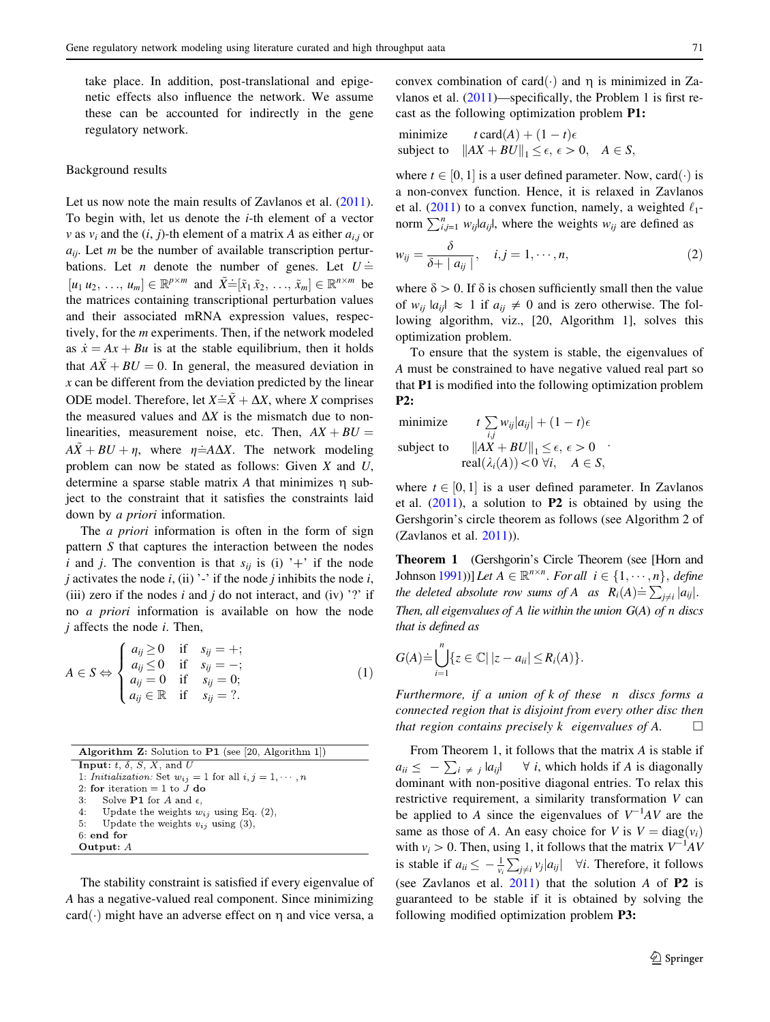<span id="page-2-0"></span>take place. In addition, post-translational and epigenetic effects also influence the network. We assume these can be accounted for indirectly in the gene regulatory network.

#### Background results

Let us now note the main results of Zavlanos et al.  $(2011)$  $(2011)$ . To begin with, let us denote the  $i$ -th element of a vector v as  $v_i$  and the  $(i, j)$ -th element of a matrix A as either  $a_{i,j}$  or  $a_{ii}$ . Let *m* be the number of available transcription perturbations. Let *n* denote the number of genes. Let  $U \doteq$  $[u_1 u_2, ..., u_m] \in \mathbb{R}^{p \times m}$  and  $\tilde{X} = [\tilde{x}_1 \tilde{x}_2, ..., \tilde{x}_m] \in \mathbb{R}^{n \times m}$  be<br>the matrices containing transcriptional perturbation values the matrices containing transcriptional perturbation values and their associated mRNA expression values, respectively, for the m experiments. Then, if the network modeled as  $\dot{x} = Ax + Bu$  is at the stable equilibrium, then it holds that  $A\tilde{X} + BU = 0$ . In general, the measured deviation in  $x$  can be different from the deviation predicted by the linear ODE model. Therefore, let  $X = \tilde{X} + \Delta X$ , where X comprises the measured values and  $\Delta X$  is the mismatch due to nonlinearities, measurement noise, etc. Then,  $AX + BU =$  $A\tilde{X} + BU + \eta$ , where  $\eta \doteq A\Delta X$ . The network modeling problem can now be stated as follows: Given  $X$  and  $U$ , determine a sparse stable matrix  $A$  that minimizes  $\eta$  subject to the constraint that it satisfies the constraints laid down by *a priori* information.

The *a priori* information is often in the form of sign pattern S that captures the interaction between the nodes i and j. The convention is that  $s_{ij}$  is (i) '+' if the node j activates the node i, (ii) '-' if the node j inhibits the node i, (iii) zero if the nodes i and j do not interact, and (iv)  $\gamma$  if no a priori information is available on how the node  $j$  affects the node  $i$ . Then,

$$
A \in S \Leftrightarrow \begin{cases} a_{ij} \ge 0 & \text{if } s_{ij} = +; \\ a_{ij} \le 0 & \text{if } s_{ij} = -; \\ a_{ij} = 0 & \text{if } s_{ij} = 0; \\ a_{ij} \in \mathbb{R} & \text{if } s_{ij} = ? \end{cases}
$$
 (1)

| <b>Algorithm Z:</b> Solution to $P1$ (see [20, Algorithm 1])     |
|------------------------------------------------------------------|
| <b>Input:</b> t, $\delta$ , $S$ , $X$ , and U                    |
| 1: Initialization: Set $w_{ij} = 1$ for all $i, j = 1, \dots, n$ |
| 2: for iteration $= 1$ to J do                                   |
| 3: Solve <b>P1</b> for A and $\epsilon$ ,                        |
| 4: Update the weights $w_{ij}$ using Eq. (2),                    |
| 5: Update the weights $v_{ij}$ using (3),                        |
| $6:$ end for                                                     |
| Output: $A$                                                      |
|                                                                  |

The stability constraint is satisfied if every eigenvalue of A has a negative-valued real component. Since minimizing card( $\cdot$ ) might have an adverse effect on  $\eta$  and vice versa, a

minimize  $t \text{ card}(A) + (1-t)e$ subject to  $||AX + BU||_1 \le \epsilon, \epsilon > 0, \quad A \in S$ ,

where  $t \in [0, 1]$  is a user defined parameter. Now, card $(\cdot)$  is a non-convex function. Hence, it is relaxed in Zavlanos et al. [\(2011](#page-8-0)) to a convex function, namely, a weighted  $\ell_1$ norm  $\sum_{i,j=1}^{n} w_{ij}|a_{ij}|$ , where the weights  $w_{ij}$  are defined as

$$
w_{ij} = \frac{\delta}{\delta + |a_{ij}|}, \quad i, j = 1, \cdots, n,
$$
\n(2)

where  $\delta > 0$ . If  $\delta$  is chosen sufficiently small then the value of  $w_{ii} |a_{ii}| \approx 1$  if  $a_{ii} \neq 0$  and is zero otherwise. The following algorithm, viz., [20, Algorithm 1], solves this optimization problem.

To ensure that the system is stable, the eigenvalues of A must be constrained to have negative valued real part so that P1 is modified into the following optimization problem P2:

:

minimize 
$$
t \sum_{i,j} w_{ij} |a_{ij}| + (1-t)\epsilon
$$
  
\nsubject to  $||AX + BU||_1 \le \epsilon, \epsilon > 0$   
\nreal $(\lambda_i(A)) < 0 \forall i, \quad A \in S$ ,

where  $t \in [0, 1]$  is a user defined parameter. In Zavlanos et al.  $(2011)$  $(2011)$ , a solution to **P2** is obtained by using the Gershgorin's circle theorem as follows (see Algorithm 2 of (Zavlanos et al. [2011](#page-8-0))).

Theorem 1 (Gershgorin's Circle Theorem (see [Horn and Johnson [1991\)](#page-8-0))] Let  $A \in \mathbb{R}^{n \times n}$ . For all  $i \in \{1, \dots, n\}$ , define<br>the deleted absolute row sums of  $A$  as  $B_n(A) = \sum |a_n|$ . the deleted absolute row sums of A as  $R_i(A) \doteq \sum_{j \neq i} |a_{ij}|$ . Then, all eigenvalues of A lie within the union  $G(A)$  of n discs that is defined as

$$
G(A) \doteq \bigcup_{i=1}^n \{z \in \mathbb{C} \mid |z - a_{ii}| \le R_i(A)\}.
$$

Furthermore, if a union of k of these n discs forms a connected region that is disjoint from every other disc then that region contains precisely k eigenvalues of A.  $\Box$ 

From Theorem 1, it follows that the matrix A is stable if  $a_{ii} \le - \sum_{i \ne j} |a_{ij}| \quad \forall i$ , which holds if A is diagonally dominant with non-positive diagonal entries. To relax this restrictive requirement, a similarity transformation V can be applied to A since the eigenvalues of  $V^{-1}AV$  are the same as those of A. An easy choice for V is  $V = \text{diag}(v_i)$ with  $v_i > 0$ . Then, using 1, it follows that the matrix  $V^{-1}AV$ is stable if  $a_{ii} \leq -\frac{1}{v_i}$  $\sum_{j\neq i}^{e} v_j |a_{ij}|$   $\forall i$ . Therefore, it follows (see Zavlanos et al.  $2011$ ) that the solution A of P2 is guaranteed to be stable if it is obtained by solving the following modified optimization problem P3: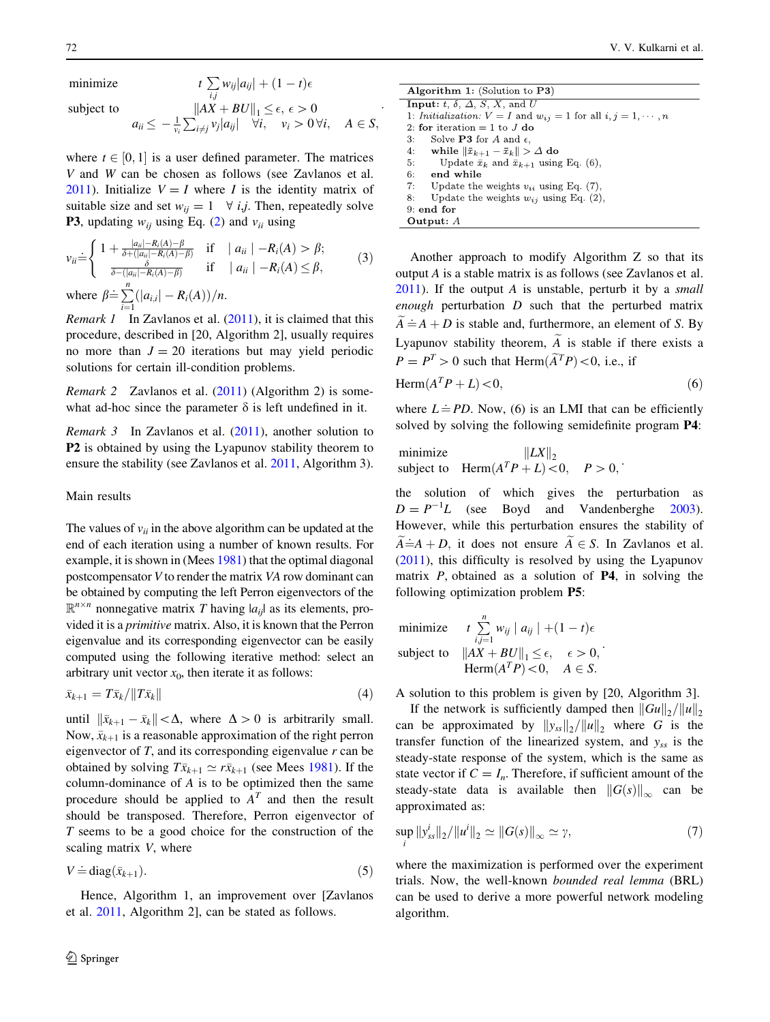minimize

subject to

$$
|AX + BU||_1 \le \epsilon, \epsilon > 0
$$
  

$$
a_{ii} \le -\frac{1}{\nu_i} \sum_{i \ne j} \nu_j |a_{ij}| \quad \forall i, \quad \nu_i > 0 \forall i, \quad A \in S,
$$

 $\sum\limits_{i,j} w_{ij} |a_{ij}| + (1-t)\epsilon$ 

where  $t \in [0, 1]$  is a user defined parameter. The matrices V and W can be chosen as follows (see Zavlanos et al. [2011\)](#page-8-0). Initialize  $V = I$  where I is the identity matrix of suitable size and set  $w_{ii} = 1 \quad \forall i,j$ . Then, repeatedly solve **P3**, updating  $w_{ij}$  using Eq. ([2\)](#page-2-0) and  $v_{ii}$  using

 $\overline{ }$ 

$$
\nu_{ii} \dot{=} \begin{cases} 1 + \frac{|a_{ii}| - R_i(A) - \beta}{\delta + (|a_{ii}| - R_i(A) - \beta)} & \text{if} \quad |a_{ii}| - R_i(A) > \beta; \\ \frac{\delta}{\delta - (|a_{ii}| - R_i(A) - \beta)} & \text{if} \quad |a_{ii}| - R_i(A) \le \beta, \end{cases} \tag{3}
$$

where  $\beta \doteq \sum_{n=1}^{\infty}$  $\sum_{i=1}(|a_{i,i}| - R_i(A))/n.$ 

*Remark 1* In Zavlanos et al.  $(2011)$  $(2011)$ , it is claimed that this procedure, described in [20, Algorithm 2], usually requires no more than  $J = 20$  iterations but may yield periodic solutions for certain ill-condition problems.

Remark 2 Zavlanos et al. ([2011\)](#page-8-0) (Algorithm 2) is somewhat ad-hoc since the parameter  $\delta$  is left undefined in it.

*Remark 3* In Zavlanos et al.  $(2011)$  $(2011)$ , another solution to P2 is obtained by using the Lyapunov stability theorem to ensure the stability (see Zavlanos et al. [2011](#page-8-0), Algorithm 3).

#### Main results

The values of  $v_{ii}$  in the above algorithm can be updated at the end of each iteration using a number of known results. For example, it is shown in (Mees [1981\)](#page-8-0) that the optimal diagonal postcompensator V to render the matrix VA row dominant can be obtained by computing the left Perron eigenvectors of the  $\mathbb{R}^{n \times n}$  nonnegative matrix T having  $|a_{ij}|$  as its elements, provided it is a primitive matrix. Also, it is known that the Perron eigenvalue and its corresponding eigenvector can be easily computed using the following iterative method: select an arbitrary unit vector  $x_0$ , then iterate it as follows:

$$
\bar{x}_{k+1} = T\bar{x}_k / \|T\bar{x}_k\| \tag{4}
$$

until  $\|\bar{x}_{k+1} - \bar{x}_k\| < \Delta$ , where  $\Delta > 0$  is arbitrarily small. Now,  $\bar{x}_{k+1}$  is a reasonable approximation of the right perron eigenvector of  $T$ , and its corresponding eigenvalue  $r$  can be obtained by solving  $T\bar{x}_{k+1} \simeq r\bar{x}_{k+1}$  (see Mees [1981](#page-8-0)). If the column-dominance of A is to be optimized then the same procedure should be applied to  $A<sup>T</sup>$  and then the result should be transposed. Therefore, Perron eigenvector of T seems to be a good choice for the construction of the scaling matrix V, where

$$
V \doteq \text{diag}(\bar{x}_{k+1}).\tag{5}
$$

Hence, Algorithm 1, an improvement over [Zavlanos et al. [2011,](#page-8-0) Algorithm 2], can be stated as follows.

| Algorithm 1: (Solution to $P3$ )                                         |
|--------------------------------------------------------------------------|
| <b>Input:</b> t, $\delta$ , $\Delta$ , $S$ , $X$ , and U                 |
| 1: Initialization: $V = I$ and $w_{ij} = 1$ for all $i, j = 1, \dots, n$ |
| 2: for iteration = 1 to J do                                             |
| Solve <b>P3</b> for A and $\epsilon$ ,<br>3:                             |
| while $\ \bar{x}_{k+1} - \bar{x}_k\  > \Delta$ do<br>4:                  |
| Update $\bar{x}_k$ and $\bar{x}_{k+1}$ using Eq. (6),<br>5:              |
| 6:<br>end while                                                          |
| Update the weights $v_{ii}$ using Eq. (7),<br>7:                         |
| Update the weights $w_{ij}$ using Eq. (2),<br>8:                         |
| $9:$ end for                                                             |
| Output: $A$                                                              |

Another approach to modify Algorithm Z so that its output A is a stable matrix is as follows (see Zavlanos et al.  $2011$ ). If the output A is unstable, perturb it by a *small* enough perturbation  $D$  such that the perturbed matrix  $\widetilde{A} = A + D$  is stable and, furthermore, an element of S. By Lyapunov stability theorem,  $\widetilde{A}$  is stable if there exists a  $P = P<sup>T</sup> > 0$  such that Herm $(\widetilde{A}^{T}P) < 0$ , i.e., if

$$
\text{Herm}(A^T P + L) < 0,\tag{6}
$$

where  $L = PD$ . Now, (6) is an LMI that can be efficiently solved by solving the following semidefinite program P4:

minimize  $||LX||_2$ subject to  $\text{Herm}(A^T P + L) < 0, \quad P > 0$ ;

the solution of which gives the perturbation as  $D = P^{-1}L$  (see Boyd and Vandenberghe [2003](#page-8-0)). However, while this perturbation ensures the stability of  $A\ddot{=}A+D$ , it does not ensure  $A\ddot{\in}S$ . In Zavlanos et al. [\(2011](#page-8-0)), this difficulty is resolved by using the Lyapunov matrix  $P$ , obtained as a solution of **P4**, in solving the following optimization problem P5:

minimize 
$$
t \sum_{i,j=1}^{n} w_{ij} |a_{ij}| + (1-t)\epsilon
$$
  
subject to  $||AX + BU||_1 \le \epsilon, \quad \epsilon > 0,$   
 Herm $(A^T P) < 0, \quad A \in S.$ 

A solution to this problem is given by [20, Algorithm 3].

If the network is sufficiently damped then  $\|Gu\|_2/\|u\|_2$ can be approximated by  $||y_{ss}||_2/||u||_2$  where G is the transfer function of the linearized system, and  $y_{ss}$  is the steady-state response of the system, which is the same as state vector if  $C = I_n$ . Therefore, if sufficient amount of the steady-state data is available then  $||G(s)||_{\infty}$  can be approximated as:

$$
\sup_{i} \|y_{ss}^{i}\|_{2} / \|u^{i}\|_{2} \simeq \|G(s)\|_{\infty} \simeq \gamma,
$$
\n(7)

where the maximization is performed over the experiment trials. Now, the well-known bounded real lemma (BRL) can be used to derive a more powerful network modeling algorithm.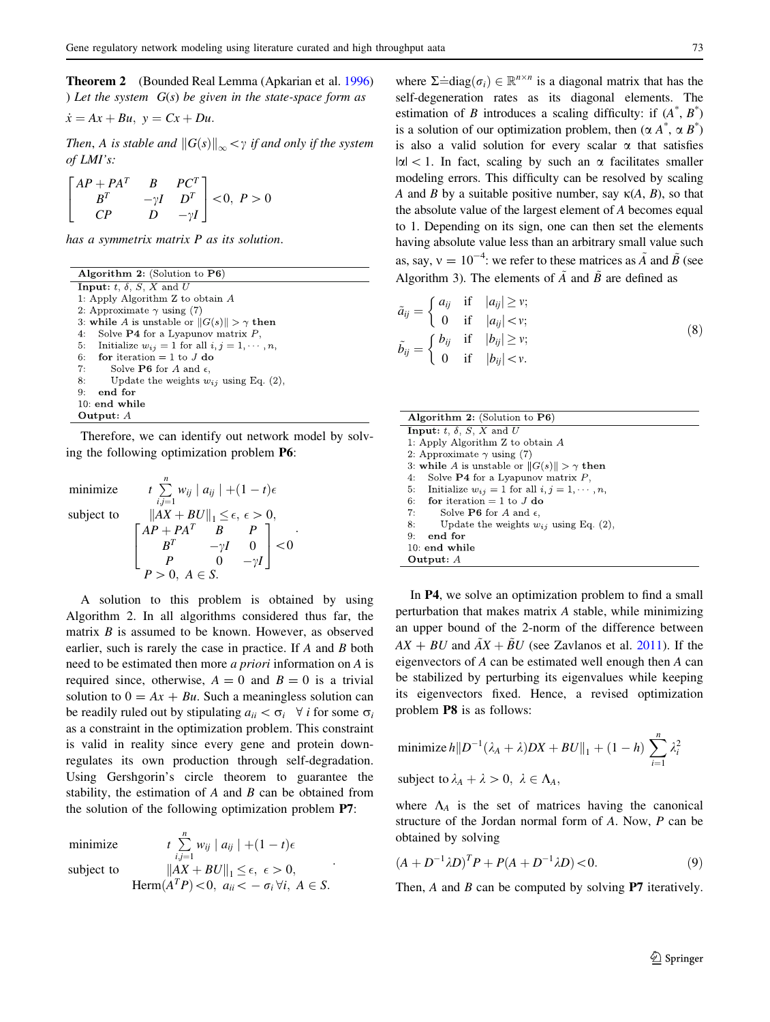<span id="page-4-0"></span>Theorem 2 (Bounded Real Lemma (Apkarian et al. [1996\)](#page-8-0) ) Let the system  $G(s)$  be given in the state-space form as

$$
\dot{x} = Ax + Bu, \ y = Cx + Du.
$$

Then, A is stable and  $||G(s)||_{\infty} < \gamma$  if and only if the system of LMI's:

$$
\begin{bmatrix} AP + PA^T & B & PC^T \ B^T & -\gamma I & D^T \ CP & D & -\gamma I \end{bmatrix} < 0, \ P > 0
$$

has a symmetrix matrix P as its solution.

| Algorithm 2: (Solution to $P6$ )                          |
|-----------------------------------------------------------|
| <b>Input:</b> t, $\delta$ , $S$ , $X$ and $U$             |
| 1: Apply Algorithm $Z$ to obtain $A$                      |
| 2: Approximate $\gamma$ using (7)                         |
| 3: while A is unstable or $  G(s)   > \gamma$ then        |
| Solve $P4$ for a Lyapunov matrix $P$ ,<br>4:              |
| 5: Initialize $w_{ij} = 1$ for all $i, j = 1, \dots, n$ , |
| 6: for iteration $= 1$ to J do                            |
| 7:<br>Solve <b>P6</b> for A and $\epsilon$ ,              |
| 8:<br>Update the weights $w_{ij}$ using Eq. (2),          |
| end for<br>9:                                             |
| $10:$ end while                                           |
| Output: $A$                                               |

Therefore, we can identify out network model by solving the following optimization problem P6:

minize subject to

$$
t\sum_{i,j=1}^{n} w_{ij} |a_{ij}| + (1-t)\epsilon
$$
  
\n
$$
||AX + BU||_1 \le \epsilon, \epsilon > 0,
$$
  
\n
$$
\begin{bmatrix} AP + PA^T & B & P \\ B^T & -\gamma I & 0 \\ P & 0 & -\gamma I \end{bmatrix} < 0
$$
  
\n
$$
P > 0, A \in S.
$$

:

A solution to this problem is obtained by using Algorithm 2. In all algorithms considered thus far, the matrix  $B$  is assumed to be known. However, as observed earlier, such is rarely the case in practice. If A and B both need to be estimated then more a priori information on A is required since, otherwise,  $A = 0$  and  $B = 0$  is a trivial solution to  $0 = Ax + Bu$ . Such a meaningless solution can be readily ruled out by stipulating  $a_{ii} < \sigma_i$   $\forall i$  for some  $\sigma_i$ as a constraint in the optimization problem. This constraint is valid in reality since every gene and protein downregulates its own production through self-degradation. Using Gershgorin's circle theorem to guarantee the stability, the estimation of  $A$  and  $B$  can be obtained from the solution of the following optimization problem P7:

minimize  $t \sum_{i=1}^{n}$ 

 $\sum\limits_{i,j=1}w_{ij}\mid a_{ij}\mid+(1-t)\epsilon$ subject to  $||AX + BU||_1 \le \epsilon, \epsilon > 0,$ Herm $(A^T P)$  < 0,  $a_{ii} < -\sigma_i \forall i, A \in S$ . :

where  $\Sigma \doteq \text{diag}(\sigma_i) \in \mathbb{R}^{n \times n}$  is a diagonal matrix that has the self-degeneration, rates, as its diagonal elements. The self-degeneration rates as its diagonal elements. The estimation of B introduces a scaling difficulty: if  $(A^*, B^*)$ is a solution of our optimization problem, then  $(\alpha A^*, \alpha B^*)$ is also a valid solution for every scalar  $\alpha$  that satisfies  $|\alpha|$  < 1. In fact, scaling by such an  $\alpha$  facilitates smaller modeling errors. This difficulty can be resolved by scaling A and B by a suitable positive number, say  $\kappa(A, B)$ , so that the absolute value of the largest element of A becomes equal to 1. Depending on its sign, one can then set the elements having absolute value less than an arbitrary small value such as, say,  $v = 10^{-4}$ : we refer to these matrices as  $\tilde{A}$  and  $\tilde{B}$  (see Algorithm 3). The elements of  $\tilde{A}$  and  $\tilde{B}$  are defined as

$$
\tilde{a}_{ij} = \begin{cases}\n a_{ij} & \text{if } |a_{ij}| \ge v; \\
0 & \text{if } |a_{ij}| < v; \\
0 & \text{if } |b_{ij}| \ge v; \\
0 & \text{if } |b_{ij}| < v.\n\end{cases}
$$
\n(8)

| Algorithm 2: (Solution to $P6$ )                             |
|--------------------------------------------------------------|
| <b>Input:</b> t, $\delta$ , S, X and U                       |
| 1: Apply Algorithm $Z$ to obtain $A$                         |
| 2: Approximate $\gamma$ using (7)                            |
| 3: while A is unstable or $  G(s)   > \gamma$ then           |
| Solve <b>P4</b> for a Lyapunov matrix $P$ ,<br>4:            |
| Initialize $w_{ij} = 1$ for all $i, j = 1, \dots, n$ ,<br>5: |
| for iteration $= 1$ to J do<br>6:                            |
| Solve <b>P6</b> for A and $\epsilon$ ,<br>7:                 |
| Update the weights $w_{ij}$ using Eq. (2),<br>8:             |
| end for<br>9:                                                |
| $10:$ end while                                              |
| Output: $A$                                                  |

In P4, we solve an optimization problem to find a small perturbation that makes matrix A stable, while minimizing an upper bound of the 2-norm of the difference between  $AX + BU$  and  $\ddot{AX} + BU$  (see Zavlanos et al. [2011\)](#page-8-0). If the eigenvectors of A can be estimated well enough then A can be stabilized by perturbing its eigenvalues while keeping its eigenvectors fixed. Hence, a revised optimization problem P8 is as follows:

minimize 
$$
h ||D^{-1}(\lambda_A + \lambda)DX + BU||_1 + (1 - h) \sum_{i=1}^n \lambda_i^2
$$
  
subject to  $\lambda_A + \lambda > 0$ ,  $\lambda \in \Lambda_A$ ,

where  $\Lambda_A$  is the set of matrices having the canonical structure of the Jordan normal form of A. Now, P can be obtained by solving

$$
(A + D^{-1} \lambda D)^T P + P(A + D^{-1} \lambda D) < 0.
$$
 (9)

Then,  $A$  and  $B$  can be computed by solving **P7** iteratively.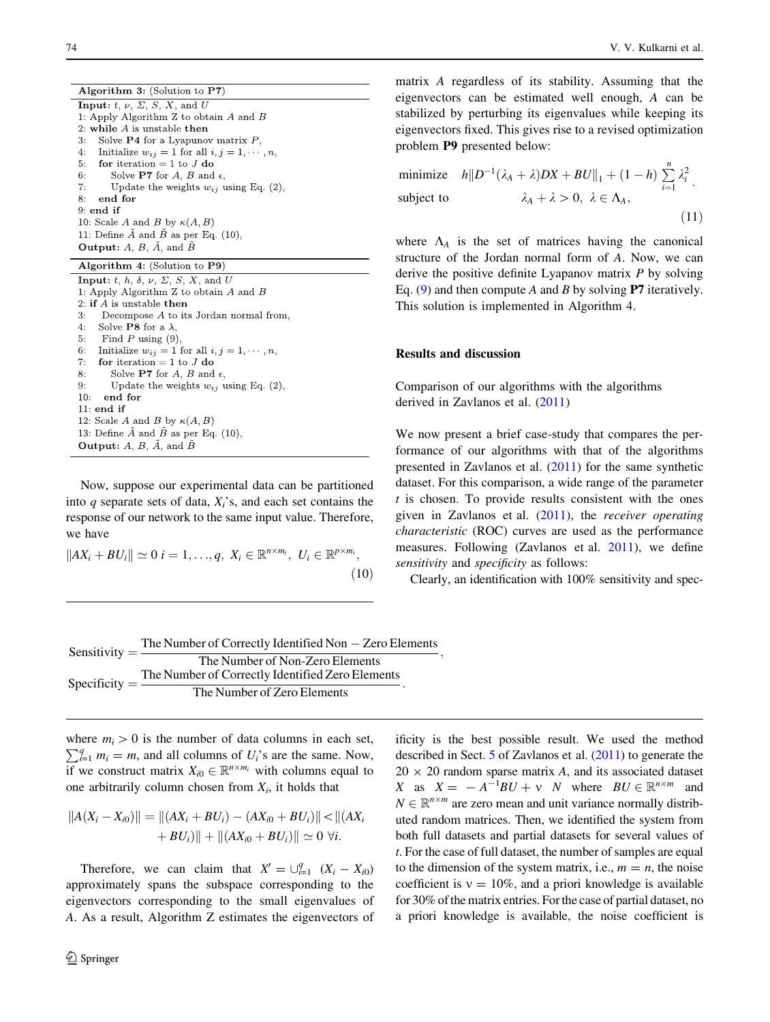Algorithm 3: (Solution to P7) **Input:**  $t, \nu, \Sigma, S, X$ , and U 1: Apply Algorithm Z to obtain  $A$  and  $B$ 2: while  $A$  is unstable then 3: Solve **P4** for a Lyapunov matrix  $P$ , Initialize  $w_{ij} = 1$  for all  $i, j = 1, \dots, n$ ,  $4:$ for iteration = 1 to  $J$  do  $5:$ Solve P7 for  $A,$   $B$  and  $\epsilon,$  $6:$  $7:$ Update the weights  $w_{ij}$  using Eq. (2),  $8:$ end for  $9:$  end if 10: Scale A and B by  $\kappa(A, B)$ 11: Define  $\tilde{A}$  and  $\tilde{B}$  as per Eq. (10), **Output:**  $A, B, \overline{A}$ , and  $\overline{B}$ 

|  | Algorithm $4:$ (Solution to P9) |  |  |  |  |  |  |
|--|---------------------------------|--|--|--|--|--|--|
|--|---------------------------------|--|--|--|--|--|--|

Now, suppose our experimental data can be partitioned into q separate sets of data,  $X_i$ 's, and each set contains the response of our network to the same input value. Therefore, we have

$$
||AX_i + BU_i|| \simeq 0 \quad i = 1, \ldots, q, \quad X_i \in \mathbb{R}^{n \times m_i}, \quad U_i \in \mathbb{R}^{p \times m_i}, \tag{10}
$$

matrix A regardless of its stability. Assuming that the eigenvectors can be estimated well enough, A can be stabilized by perturbing its eigenvalues while keeping its eigenvectors fixed. This gives rise to a revised optimization problem P9 presented below:

minimize 
$$
h||D^{-1}(\lambda_A + \lambda)DX + BU||_1 + (1 - h) \sum_{i=1}^n \lambda_i^2
$$
.  
subject to  $\lambda_A + \lambda > 0, \ \lambda \in \Lambda_A$ , (11)

where  $\Lambda_A$  is the set of matrices having the canonical structure of the Jordan normal form of A. Now, we can derive the positive definite Lyapanov matrix  $P$  by solving Eq. [\(9](#page-4-0)) and then compute A and B by solving **P7** iteratively. This solution is implemented in Algorithm 4.

# Results and discussion

Comparison of our algorithms with the algorithms derived in Zavlanos et al. ([2011\)](#page-8-0)

We now present a brief case-study that compares the performance of our algorithms with that of the algorithms presented in Zavlanos et al. ([2011](#page-8-0)) for the same synthetic dataset. For this comparison, a wide range of the parameter  $t$  is chosen. To provide results consistent with the ones given in Zavlanos et al. [\(2011](#page-8-0)), the receiver operating characteristic (ROC) curves are used as the performance measures. Following (Zavlanos et al. [2011\)](#page-8-0), we define sensitivity and specificity as follows:

Clearly, an identification with 100% sensitivity and spec-

| Sensitivity $=$ $\overline{-}$           | The Number of Correctly Identified Non $-$ Zero Elements |
|------------------------------------------|----------------------------------------------------------|
|                                          | The Number of Non-Zero Elements                          |
| Specificity $=$ $\overline{\phantom{a}}$ | The Number of Correctly Identified Zero Elements         |
|                                          | The Number of Zero Elements                              |

where  $m_i > 0$  is the number of data columns in each set,<br> $\nabla^q$ ,  $m_i = m_i$  and all columns of  $U_i$  are the same. Now  $_{i=1}^{q} m_i = m$ , and all columns of  $U_i$ 's are the same. Now, if we construct matrix  $X_{i0} \in \mathbb{R}^{n \times m_i}$  with columns equal to one arbitrarily column chosen from  $X_i$ , it holds that

$$
||A(X_i - X_{i0})|| = ||(AX_i + BU_i) - (AX_{i0} + BU_i)|| < ||(AX_i + BU_i)||
$$
  
+ 
$$
BU_i)|| + ||(AX_{i0} + BU_i)|| \approx 0 \ \forall i.
$$

Therefore, we can claim that  $X' = \bigcup_{i=1}^{q} (X_i - X_{i0})$ approximately spans the subspace corresponding to the eigenvectors corresponding to the small eigenvalues of A. As a result, Algorithm Z estimates the eigenvectors of ificity is the best possible result. We used the method described in Sect. [5](#page-7-0) of Zavlanos et al. ([2011](#page-8-0)) to generate the  $20 \times 20$  random sparse matrix A, and its associated dataset X as  $X = -A^{-1}BU + v$  N where  $BU \in \mathbb{R}^{n \times m}$  and  $N \in \mathbb{R}^{n \times m}$  are zero mean and unit variance normally distributed  $N \in \mathbb{R}^{n \times m}$  are zero mean and unit variance normally distributed random matrices. Then, we identified the system from both full datasets and partial datasets for several values of t. For the case of full dataset, the number of samples are equal to the dimension of the system matrix, i.e.,  $m = n$ , the noise coefficient is  $v = 10\%$ , and a priori knowledge is available for 30% of the matrix entries. For the case of partial dataset, no a priori knowledge is available, the noise coefficient is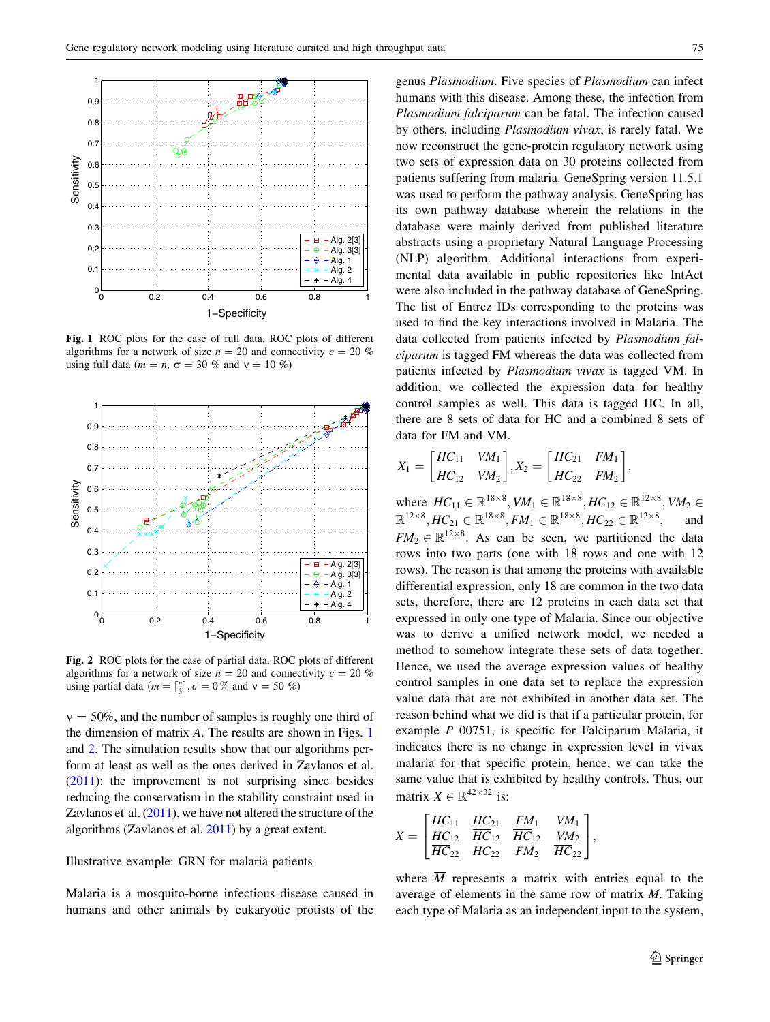

Fig. 1 ROC plots for the case of full data, ROC plots of different algorithms for a network of size  $n = 20$  and connectivity  $c = 20 \%$ using full data ( $m = n$ ,  $\sigma = 30$  % and  $v = 10$  %)



Fig. 2 ROC plots for the case of partial data, ROC plots of different algorithms for a network of size  $n = 20$  and connectivity  $c = 20 \%$ using partial data ( $m = \lceil \frac{n}{3} \rceil$ ,  $\sigma = 0\%$  and  $v = 50\%$ )

 $v = 50\%$ , and the number of samples is roughly one third of the dimension of matrix A. The results are shown in Figs. 1 and 2. The simulation results show that our algorithms perform at least as well as the ones derived in Zavlanos et al. [\(2011\)](#page-8-0): the improvement is not surprising since besides reducing the conservatism in the stability constraint used in Zavlanos et al. ([2011](#page-8-0)), we have not altered the structure of the algorithms (Zavlanos et al. [2011](#page-8-0)) by a great extent.

# Illustrative example: GRN for malaria patients

Malaria is a mosquito-borne infectious disease caused in humans and other animals by eukaryotic protists of the

genus Plasmodium. Five species of Plasmodium can infect humans with this disease. Among these, the infection from Plasmodium falciparum can be fatal. The infection caused by others, including Plasmodium vivax, is rarely fatal. We now reconstruct the gene-protein regulatory network using two sets of expression data on 30 proteins collected from patients suffering from malaria. GeneSpring version 11.5.1 was used to perform the pathway analysis. GeneSpring has its own pathway database wherein the relations in the database were mainly derived from published literature abstracts using a proprietary Natural Language Processing (NLP) algorithm. Additional interactions from experimental data available in public repositories like IntAct were also included in the pathway database of GeneSpring. The list of Entrez IDs corresponding to the proteins was used to find the key interactions involved in Malaria. The data collected from patients infected by Plasmodium falciparum is tagged FM whereas the data was collected from patients infected by Plasmodium vivax is tagged VM. In addition, we collected the expression data for healthy control samples as well. This data is tagged HC. In all, there are 8 sets of data for HC and a combined 8 sets of data for FM and VM.

$$
X_1 = \begin{bmatrix} HC_{11} & VM_1 \ HC_{21} & FM_1 \ \end{bmatrix}, X_2 = \begin{bmatrix} HC_{21} & FM_1 \ HC_{22} & FM_2 \end{bmatrix},
$$

where  $HC_{11} \in \mathbb{R}^{18 \times 8}$ ,  $VM_1 \in \mathbb{R}^{18 \times 8}$ ,  $HC_{12} \in \mathbb{R}^{12 \times 8}$ ,  $VM_2 \in \mathbb{R}^{12 \times 8}$   $UC_{12} \in \mathbb{R}^{12 \times 8}$  and  $\mathbb{R}^{12\times8}, HC_{21} \in \mathbb{R}^{18\times8}, FM_1 \in \mathbb{R}^{18\times8}, HC_{22} \in \mathbb{R}^{12\times8}$ <br> $EM \subset \mathbb{R}^{12\times8}$  As seen be seen we pertitioned , and  $FM_2 \in \mathbb{R}^{12 \times 8}$ . As can be seen, we partitioned the data rows into two parts (one with 18 rows and one with 12 rows). The reason is that among the proteins with available differential expression, only 18 are common in the two data sets, therefore, there are 12 proteins in each data set that expressed in only one type of Malaria. Since our objective was to derive a unified network model, we needed a method to somehow integrate these sets of data together. Hence, we used the average expression values of healthy control samples in one data set to replace the expression value data that are not exhibited in another data set. The reason behind what we did is that if a particular protein, for example P 00751, is specific for Falciparum Malaria, it indicates there is no change in expression level in vivax malaria for that specific protein, hence, we can take the same value that is exhibited by healthy controls. Thus, our matrix  $X \in \mathbb{R}^{42 \times 32}$  is:

$$
X = \begin{bmatrix} HC_{11} & HC_{21} & FM_1 & VM_1 \ \frac{HC_{12}}{HC_{12}} & \frac{FM_1}{HC_{12}} & \frac{VM_2}{HC_{22}} \end{bmatrix},
$$

where  $\overline{M}$  represents a matrix with entries equal to the average of elements in the same row of matrix M. Taking each type of Malaria as an independent input to the system,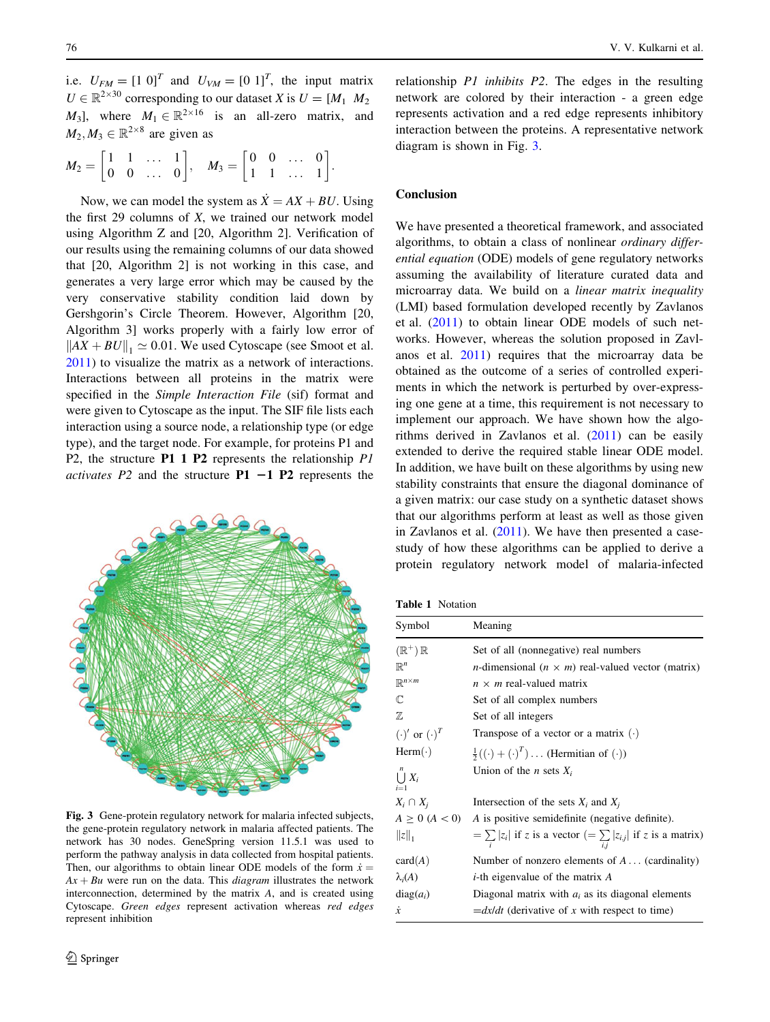<span id="page-7-0"></span>i.e.  $U_{FM} = \begin{bmatrix} 1 & 0 \end{bmatrix}^T$  and  $U_{VM} = \begin{bmatrix} 0 & 1 \end{bmatrix}^T$ , the input matrix  $U \in \mathbb{R}^{2 \times 30}$  corresponding to our dataset X is  $U = [M_1 \ M_2]$  $M_3$ , where  $M_1 \in \mathbb{R}^{2 \times 16}$  is an all-zero matrix, and  $M_2, M_3 \in \mathbb{R}^{2 \times 8}$  are given as

$$
M_2 = \begin{bmatrix} 1 & 1 & \dots & 1 \\ 0 & 0 & \dots & 0 \end{bmatrix}, \quad M_3 = \begin{bmatrix} 0 & 0 & \dots & 0 \\ 1 & 1 & \dots & 1 \end{bmatrix}
$$

Now, we can model the system as  $\dot{X} = AX + BU$ . Using the first  $29$  columns of  $X$ , we trained our network model using Algorithm Z and [20, Algorithm 2]. Verification of our results using the remaining columns of our data showed that [20, Algorithm 2] is not working in this case, and generates a very large error which may be caused by the very conservative stability condition laid down by Gershgorin's Circle Theorem. However, Algorithm [20, Algorithm 3] works properly with a fairly low error of  $\|AX + BU\|_1 \simeq 0.01$ . We used Cytoscape (see Smoot et al. [2011\)](#page-8-0) to visualize the matrix as a network of interactions. Interactions between all proteins in the matrix were specified in the Simple Interaction File (sif) format and were given to Cytoscape as the input. The SIF file lists each interaction using a source node, a relationship type (or edge type), and the target node. For example, for proteins P1 and P2, the structure P1 1 P2 represents the relationship P1 *activates P2* and the structure  $P1 - 1 P2$  represents the



Fig. 3 Gene-protein regulatory network for malaria infected subjects, the gene-protein regulatory network in malaria affected patients. The network has 30 nodes. GeneSpring version 11.5.1 was used to perform the pathway analysis in data collected from hospital patients. Then, our algorithms to obtain linear ODE models of the form  $\dot{x} =$  $Ax + Bu$  were run on the data. This *diagram* illustrates the network interconnection, determined by the matrix A, and is created using Cytoscape. Green edges represent activation whereas red edges represent inhibition

relationship P1 inhibits P2. The edges in the resulting network are colored by their interaction - a green edge represents activation and a red edge represents inhibitory interaction between the proteins. A representative network diagram is shown in Fig. 3.

# Conclusion

:

We have presented a theoretical framework, and associated algorithms, to obtain a class of nonlinear ordinary differential equation (ODE) models of gene regulatory networks assuming the availability of literature curated data and microarray data. We build on a linear matrix inequality (LMI) based formulation developed recently by Zavlanos et al. ([2011\)](#page-8-0) to obtain linear ODE models of such networks. However, whereas the solution proposed in Zavlanos et al. [2011](#page-8-0)) requires that the microarray data be obtained as the outcome of a series of controlled experiments in which the network is perturbed by over-expressing one gene at a time, this requirement is not necessary to implement our approach. We have shown how the algorithms derived in Zavlanos et al. ([2011\)](#page-8-0) can be easily extended to derive the required stable linear ODE model. In addition, we have built on these algorithms by using new stability constraints that ensure the diagonal dominance of a given matrix: our case study on a synthetic dataset shows that our algorithms perform at least as well as those given in Zavlanos et al.  $(2011)$ . We have then presented a casestudy of how these algorithms can be applied to derive a protein regulatory network model of malaria-infected

Table 1 Notation

| Symbol                        | Meaning                                                                      |
|-------------------------------|------------------------------------------------------------------------------|
| $(\mathbb{R}^+)$ $\mathbb{R}$ | Set of all (nonnegative) real numbers                                        |
| $\mathbb{R}^n$                | <i>n</i> -dimensional ( $n \times m$ ) real-valued vector (matrix)           |
| $\mathbb{R}^{n \times m}$     | $n \times m$ real-valued matrix                                              |
| $\mathbb{C}$                  | Set of all complex numbers                                                   |
| $\mathbb{Z}$                  | Set of all integers                                                          |
| $(\cdot)'$ or $(\cdot)^T$     | Transpose of a vector or a matrix $(\cdot)$                                  |
| $Herm(\cdot)$                 | $\frac{1}{2}((\cdot) + (\cdot)^T) \dots$ (Hermitian of $(\cdot)$ )           |
| n<br>$\bigcup X_i$<br>$i=1$   | Union of the <i>n</i> sets $X_i$                                             |
| $X_i \cap X_i$                | Intersection of the sets $X_i$ and $X_i$                                     |
| $A \ge 0$ ( $A < 0$ )         | A is positive semidefinite (negative definite).                              |
| $  z  _1$                     | $=\sum_{i}  z_i $ if z is a vector $(=\sum_{i}  z_{i,j} )$ if z is a matrix) |
| card(A)                       | Number of nonzero elements of $A \dots$ (cardinality)                        |
| $\lambda_i(A)$                | $i$ -th eigenvalue of the matrix $A$                                         |
| $diag(a_i)$                   | Diagonal matrix with $a_i$ as its diagonal elements                          |
| $\dot{x}$                     | $=dx/dt$ (derivative of x with respect to time)                              |